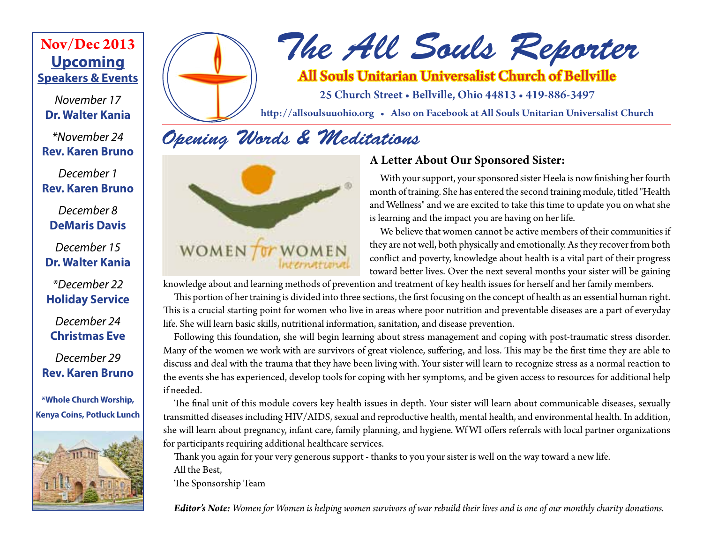### **Upcoming Speakers & Events Nov/Dec 2013**

*November 17* **Dr. Walter Kania**

*\*November 24* **Rev. Karen Bruno**

*December 1* **Rev. Karen Bruno**

*December 8* **DeMaris Davis**

*December 15* **Dr. Walter Kania**

*\*December 22* **Holiday Service**

*December 24* **Christmas Eve**

*December 29* **Rev. Karen Bruno**

**\*Whole Church Worship, Kenya Coins, Potluck Lunch**





# *The All Souls Reporter*

### All Souls Unitarian Universalist Church of Bellville

25 Church Street • Bellville, Ohio 44813 • 419-886-3497

http://allsoulsuuohio.org • Also on Facebook at All Souls Unitarian Universalist Church

# *Opening Words & Meditations*



### **A Letter About Our Sponsored Sister:**

With your support, your sponsored sister Heela is now finishing her fourth month of training. She has entered the second training module, titled "Health and Wellness" and we are excited to take this time to update you on what she is learning and the impact you are having on her life.

We believe that women cannot be active members of their communities if they are not well, both physically and emotionally. As they recover from both conflict and poverty, knowledge about health is a vital part of their progress toward better lives. Over the next several months your sister will be gaining

knowledge about and learning methods of prevention and treatment of key health issues for herself and her family members.

This portion of her training is divided into three sections, the first focusing on the concept of health as an essential human right. This is a crucial starting point for women who live in areas where poor nutrition and preventable diseases are a part of everyday life. She will learn basic skills, nutritional information, sanitation, and disease prevention.

Following this foundation, she will begin learning about stress management and coping with post-traumatic stress disorder. Many of the women we work with are survivors of great violence, suffering, and loss. This may be the first time they are able to discuss and deal with the trauma that they have been living with. Your sister will learn to recognize stress as a normal reaction to the events she has experienced, develop tools for coping with her symptoms, and be given access to resources for additional help if needed.

The final unit of this module covers key health issues in depth. Your sister will learn about communicable diseases, sexually transmitted diseases including HIV/AIDS, sexual and reproductive health, mental health, and environmental health. In addition, she will learn about pregnancy, infant care, family planning, and hygiene. Wf WI offers referrals with local partner organizations for participants requiring additional healthcare services.

Thank you again for your very generous support - thanks to you your sister is well on the way toward a new life. All the Best,

The Sponsorship Team

*Editor's Note: Women for Women is helping women survivors of war rebuild their lives and is one of our monthly charity donations.*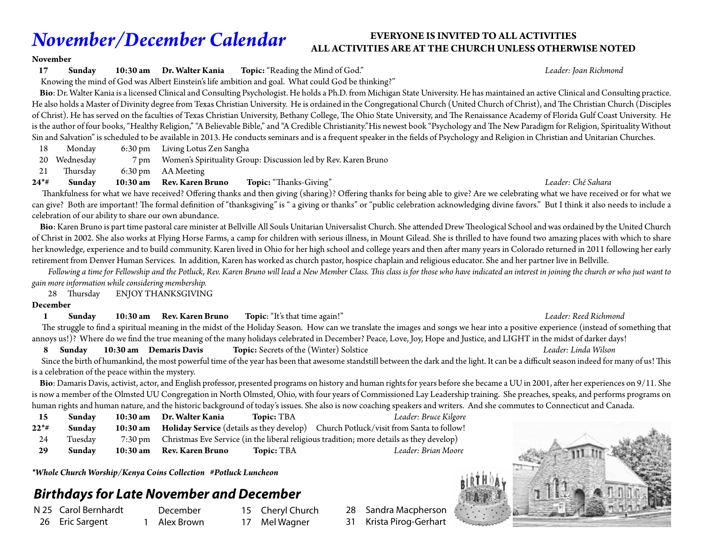# *November/December Calendar*

### **EVERYONE IS INVITED TO ALL ACTIVITIES ALL ACTIVITIES ARE AT THE CHURCH UNLESS OTHERWISE NOTED**

### **November**

**17 Sunday 10:30 am Dr. Walter Kania Topic:** "Reading the Mind of God." *Leader: Joan Richmond*

### Knowing the mind of God was Albert Einstein's life ambition and goal. What could God be thinking?"

 **Bio**: Dr. Walter Kania is a licensed Clinical and Consulting Psychologist. He holds a Ph.D. from Michigan State University. He has maintained an active Clinical and Consulting practice. He also holds a Master of Divinity degree from Texas Christian University. He is ordained in the Congregational Church (United Church of Christ), and The Christian Church (Disciples of Christ). He has served on the faculties of Texas Christian University, Bethany College, The Ohio State University, and The Renaissance Academy of Florida Gulf Coast University. He is the author of four books, "Healthy Religion," "A Believable Bible," and "A Credible Christianity."His newest book "Psychology and The New Paradigm for Religion, Spirituality Without Sin and Salvation" is scheduled to be available in 2013. He conducts seminars and is a frequent speaker in the fields of Psychology and Religion in Christian and Unitarian Churches.

- 18 Monday 6:30 pm Living Lotus Zen Sangha
- 20 Wednesday 7 pm Women's Spirituality Group: Discussion led by Rev. Karen Bruno

21 Thursday 6:30 pm AA Meeting

**24\*# Sunday 10:30 am Rev. Karen Bruno Topic:** "Thanks-Giving" *Leader: Ché Sahara*

 Thankfulness for what we have received? Offering thanks and then giving (sharing)? Offering thanks for being able to give? Are we celebrating what we have received or for what we can give? Both are important! The formal definition of "thanksgiving" is " a giving or thanks" or "public celebration acknowledging divine favors." But I think it also needs to include a celebration of our ability to share our own abundance.

 **Bio**: Karen Bruno is part time pastoral care minister at Bellville All Souls Unitarian Universalist Church. She attended Drew Theological School and was ordained by the United Church of Christ in 2002. She also works at Flying Horse Farms, a camp for children with serious illness, in Mount Gilead. She is thrilled to have found two amazing places with which to share her knowledge, experience and to build community. Karen lived in Ohio for her high school and college years and then after many years in Colorado returned in 2011 following her early retirement from Denver Human Services. In addition, Karen has worked as church pastor, hospice chaplain and religious educator. She and her partner live in Bellville.

 *Following a time for Fellowship and the Potluck, Rev. Karen Bruno will lead a New Member Class. This class is for those who have indicated an interest in joining the church or who just want to gain more information while considering membership.*

28 Thursday ENJOY THANKSGIVING

### **December**

**1 Sunday 10:30 am Rev. Karen Bruno Topic**: "It's that time again!" *Leader: Reed Richmond*

### The struggle to find a spiritual meaning in the midst of the Holiday Season. How can we translate the images and songs we hear into a positive experience (instead of something that annoys us!)? Where do we find the true meaning of the many holidays celebrated in December? Peace, Love, Joy, Hope and Justice, and LIGHT in the midst of darker days!

 **8 Sunday 10:30 am Demaris Davis Topic:** Secrets of the (Winter) Solstice *Leader: Linda Wilson*

 Since the birth of humankind, the most powerful time of the year has been that awesome standstill between the dark and the light. It can be a difficult season indeed for many of us! This is a celebration of the peace within the mystery.

 **Bio**: Damaris Davis, activist, actor, and English professor, presented programs on history and human rights for years before she became a UU in 2001, after her experiences on 9/11. She is now a member of the Olmsted UU Congregation in North Olmsted, Ohio, with four years of Commissioned Lay Leadership training. She preaches, speaks, and performs programs on human rights and human nature, and the historic background of today's issues. She also is now coaching speakers and writers. And she commutes to Connecticut and Canada.

| 15     | Sunday  | 10:30 am Dr. Walter Kania | <b>Topic: TBA</b> | Leader: Bruce Kilgore                                                                            |
|--------|---------|---------------------------|-------------------|--------------------------------------------------------------------------------------------------|
| $22**$ | Sunday  |                           |                   | 10:30 am Holiday Service (details as they develop) Church Potluck/visit from Santa to follow!    |
| 24     | Tuesday |                           |                   | 7:30 pm Christmas Eve Service (in the liberal religious tradition; more details as they develop) |
| 29     | Sunday  | 10:30 am Rev. Karen Bruno | <b>Topic: TBA</b> | Leader: Brian Moore                                                                              |

*\*Whole Church Worship/Kenya Coins Collection #Potluck Luncheon*

### *Birthdays for Late November and December*

N 25 Carol Bernhardt 26 Eric Sargent

 December 1 Alex Brown 15 Cheryl Church 17 Mel Wagner

28 Sandra Macpherson

31 Krista Pirog-Gerhart

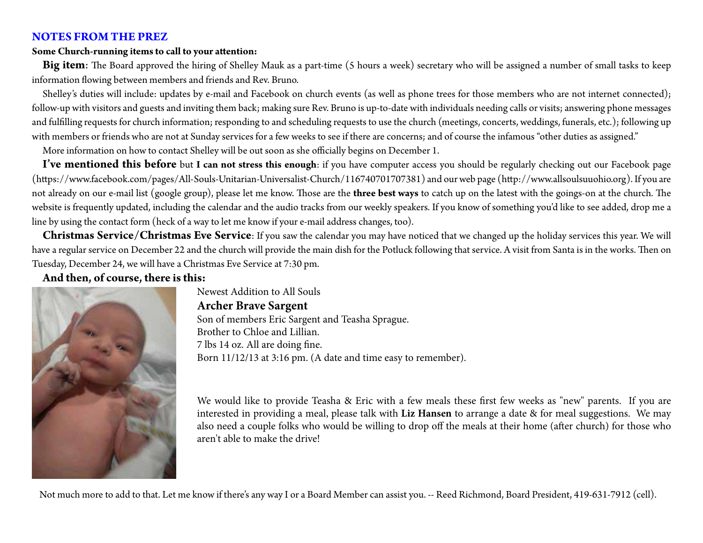### **NOTES FROM THE PREZ**

### **Some Church-running items to call to your attention:**

**Big item**: The Board approved the hiring of Shelley Mauk as a part-time (5 hours a week) secretary who will be assigned a number of small tasks to keep information flowing between members and friends and Rev. Bruno.

Shelley's duties will include: updates by e-mail and Facebook on church events (as well as phone trees for those members who are not internet connected); follow-up with visitors and guests and inviting them back; making sure Rev. Bruno is up-to-date with individuals needing calls or visits; answering phone messages and fulfilling requests for church information; responding to and scheduling requests to use the church (meetings, concerts, weddings, funerals, etc.); following up with members or friends who are not at Sunday services for a few weeks to see if there are concerns; and of course the infamous "other duties as assigned."

More information on how to contact Shelley will be out soon as she officially begins on December 1.

**I've mentioned this before** but **I can not stress this enough**: if you have computer access you should be regularly checking out our Facebook page (https://www.facebook.com/pages/All-Souls-Unitarian-Universalist-Church/116740701707381) and our web page (http://www.allsoulsuuohio.org). If you are not already on our e-mail list (google group), please let me know. Those are the **three best ways** to catch up on the latest with the goings-on at the church. The website is frequently updated, including the calendar and the audio tracks from our weekly speakers. If you know of something you'd like to see added, drop me a line by using the contact form (heck of a way to let me know if your e-mail address changes, too).

**Christmas Service/Christmas Eve Service**: If you saw the calendar you may have noticed that we changed up the holiday services this year. We will have a regular service on December 22 and the church will provide the main dish for the Potluck following that service. A visit from Santa is in the works. Then on Tuesday, December 24, we will have a Christmas Eve Service at 7:30 pm.

**And then, of course, there is this:**



Newest Addition to All Souls **Archer Brave Sargent** Son of members Eric Sargent and Teasha Sprague. Brother to Chloe and Lillian. 7 lbs 14 oz. All are doing fine. Born 11/12/13 at 3:16 pm. (A date and time easy to remember).

We would like to provide Teasha & Eric with a few meals these first few weeks as "new" parents. If you are interested in providing a meal, please talk with **Liz Hansen** to arrange a date & for meal suggestions. We may also need a couple folks who would be willing to drop off the meals at their home (after church) for those who aren't able to make the drive!

Not much more to add to that. Let me know if there's any way I or a Board Member can assist you. -- Reed Richmond, Board President, 419-631-7912 (cell).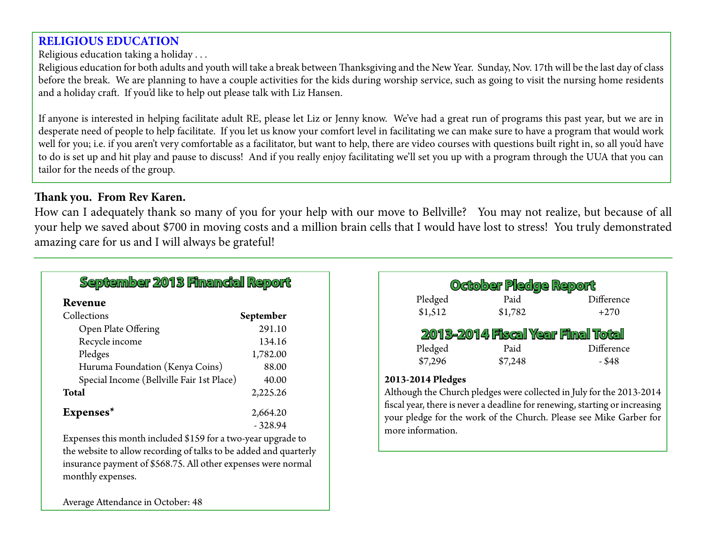### **RELIGIOUS EDUCATION**

Religious education taking a holiday . . .

Religious education for both adults and youth will take a break between Thanksgiving and the New Year. Sunday, Nov. 17th will be the last day of class before the break. We are planning to have a couple activities for the kids during worship service, such as going to visit the nursing home residents and a holiday craft. If you'd like to help out please talk with Liz Hansen.

If anyone is interested in helping facilitate adult RE, please let Liz or Jenny know. We've had a great run of programs this past year, but we are in desperate need of people to help facilitate. If you let us know your comfort level in facilitating we can make sure to have a program that would work well for you; i.e. if you aren't very comfortable as a facilitator, but want to help, there are video courses with questions built right in, so all you'd have to do is set up and hit play and pause to discuss! And if you really enjoy facilitating we'll set you up with a program through the UUA that you can tailor for the needs of the group.

### **Thank you. From Rev Karen.**

How can I adequately thank so many of you for your help with our move to Bellville? You may not realize, but because of all your help we saved about \$700 in moving costs and a million brain cells that I would have lost to stress! You truly demonstrated amazing care for us and I will always be grateful!

| September 2013 Financial Report           |           |  |  |  |
|-------------------------------------------|-----------|--|--|--|
| Revenue                                   |           |  |  |  |
| Collections                               | September |  |  |  |
| Open Plate Offering                       | 291.10    |  |  |  |
| Recycle income                            | 134.16    |  |  |  |
| Pledges                                   | 1,782.00  |  |  |  |
| Huruma Foundation (Kenya Coins)           | 88.00     |  |  |  |
| Special Income (Bellville Fair 1st Place) | 40.00     |  |  |  |
| Total                                     | 2,225.26  |  |  |  |
| Expenses*                                 | 2,664.20  |  |  |  |
|                                           | $-328.94$ |  |  |  |
| $1.1$ $1.1$ $1.4$ $1.2$                   |           |  |  |  |

Expenses this month included \$159 for a two-year upgrade to the website to allow recording of talks to be added and quarterly insurance payment of \$568.75. All other expenses were normal monthly expenses.

| October Pledge Report             |         |            |  |  |  |  |
|-----------------------------------|---------|------------|--|--|--|--|
| Pledged                           | Paid    | Difference |  |  |  |  |
| \$1,512                           | \$1,782 | $+270$     |  |  |  |  |
| 2013-2014 Fiscal Year Final Total |         |            |  |  |  |  |
| Pledged                           | Paid    | Difference |  |  |  |  |
| \$7,296                           | \$7,248 | - \$48     |  |  |  |  |
|                                   |         |            |  |  |  |  |

### **2013-2014 Pledges**

Although the Church pledges were collected in July for the 2013-2014 fiscal year, there is never a deadline for renewing, starting or increasing your pledge for the work of the Church. Please see Mike Garber for more information.